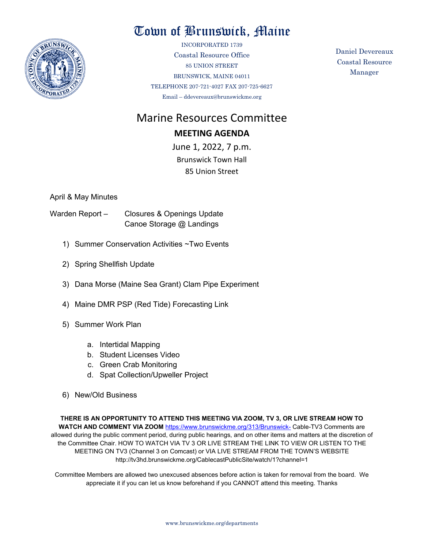

## Town of Brunswick, Maine

INCORPORATED 1739 Coastal Resource Office 85 UNION STREET BRUNSWICK, MAINE 04011 TELEPHONE 207-721-4027 FAX 207-725-6627 Email – ddevereaux@brunswickme.org

Daniel Devereaux Coastal Resource Manager

# Marine Resources Committee

### **MEETING AGENDA**

June 1, 2022, 7 p.m. Brunswick Town Hall 85 Union Street

April & May Minutes

- Warden Report Closures & Openings Update Canoe Storage @ Landings
	- 1) Summer Conservation Activities ~Two Events
	- 2) Spring Shellfish Update
	- 3) Dana Morse (Maine Sea Grant) Clam Pipe Experiment
	- 4) Maine DMR PSP (Red Tide) Forecasting Link
	- 5) Summer Work Plan
		- a. Intertidal Mapping
		- b. Student Licenses Video
		- c. Green Crab Monitoring
		- d. Spat Collection/Upweller Project
	- 6) New/Old Business

**THERE IS AN OPPORTUNITY TO ATTEND THIS MEETING VIA ZOOM, TV 3, OR LIVE STREAM HOW TO**  WATCH AND COMMENT VIA ZOOM <https://www.brunswickme.org/313/Brunswick-> Cable-TV3 Comments are allowed during the public comment period, during public hearings, and on other items and matters at the discretion of the Committee Chair. HOW TO WATCH VIA TV 3 OR LIVE STREAM THE LINK TO VIEW OR LISTEN TO THE MEETING ON TV3 (Channel 3 on Comcast) or VIA LIVE STREAM FROM THE TOWN'S WEBSITE http://tv3hd.brunswickme.org/CablecastPublicSite/watch/1?channel=1

Committee Members are allowed two unexcused absences before action is taken for removal from the board. We appreciate it if you can let us know beforehand if you CANNOT attend this meeting. Thanks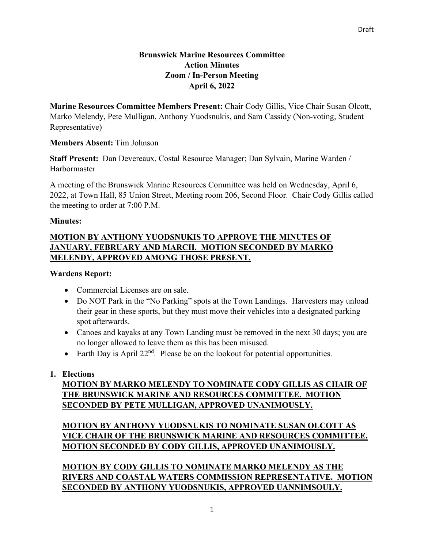### **Brunswick Marine Resources Committee Action Minutes Zoom / In-Person Meeting April 6, 2022**

**Marine Resources Committee Members Present:** Chair Cody Gillis, Vice Chair Susan Olcott, Marko Melendy, Pete Mulligan, Anthony Yuodsnukis, and Sam Cassidy (Non-voting, Student Representative)

#### **Members Absent:** Tim Johnson

**Staff Present:** Dan Devereaux, Costal Resource Manager; Dan Sylvain, Marine Warden / Harbormaster

A meeting of the Brunswick Marine Resources Committee was held on Wednesday, April 6, 2022, at Town Hall, 85 Union Street, Meeting room 206, Second Floor. Chair Cody Gillis called the meeting to order at 7:00 P.M.

#### **Minutes:**

## **MOTION BY ANTHONY YUODSNUKIS TO APPROVE THE MINUTES OF JANUARY, FEBRUARY AND MARCH. MOTION SECONDED BY MARKO MELENDY, APPROVED AMONG THOSE PRESENT.**

#### **Wardens Report:**

- Commercial Licenses are on sale.
- Do NOT Park in the "No Parking" spots at the Town Landings. Harvesters may unload their gear in these sports, but they must move their vehicles into a designated parking spot afterwards.
- Canoes and kayaks at any Town Landing must be removed in the next 30 days; you are no longer allowed to leave them as this has been misused.
- Earth Day is April  $22<sup>nd</sup>$ . Please be on the lookout for potential opportunities.

## **1. Elections**

## **MOTION BY MARKO MELENDY TO NOMINATE CODY GILLIS AS CHAIR OF THE BRUNSWICK MARINE AND RESOURCES COMMITTEE. MOTION SECONDED BY PETE MULLIGAN, APPROVED UNANIMOUSLY.**

## **MOTION BY ANTHONY YUODSNUKIS TO NOMINATE SUSAN OLCOTT AS VICE CHAIR OF THE BRUNSWICK MARINE AND RESOURCES COMMITTEE. MOTION SECONDED BY CODY GILLIS, APPROVED UNANIMOUSLY.**

**MOTION BY CODY GILLIS TO NOMINATE MARKO MELENDY AS THE RIVERS AND COASTAL WATERS COMMISSION REPRESENTATIVE. MOTION SECONDED BY ANTHONY YUODSNUKIS, APPROVED UANNIMSOULY.**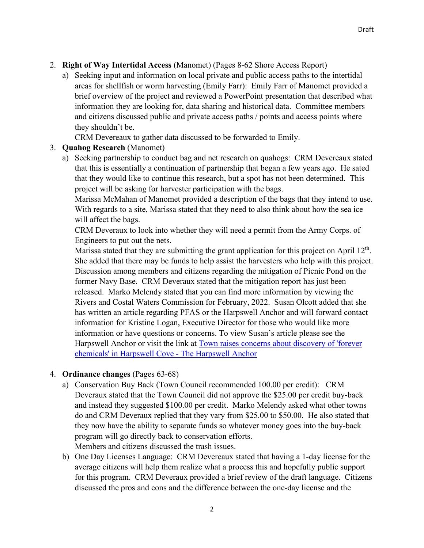- 2. **Right of Way Intertidal Access** (Manomet) (Pages 8-62 Shore Access Report)
	- a) Seeking input and information on local private and public access paths to the intertidal areas for shellfish or worm harvesting (Emily Farr): Emily Farr of Manomet provided a brief overview of the project and reviewed a PowerPoint presentation that described what information they are looking for, data sharing and historical data. Committee members and citizens discussed public and private access paths / points and access points where they shouldn't be.

CRM Devereaux to gather data discussed to be forwarded to Emily.

#### 3. **Quahog Research** (Manomet)

a) Seeking partnership to conduct bag and net research on quahogs: CRM Devereaux stated that this is essentially a continuation of partnership that began a few years ago. He sated that they would like to continue this research, but a spot has not been determined. This project will be asking for harvester participation with the bags.

Marissa McMahan of Manomet provided a description of the bags that they intend to use. With regards to a site, Marissa stated that they need to also think about how the sea ice will affect the bags.

CRM Deveraux to look into whether they will need a permit from the Army Corps. of Engineers to put out the nets.

Marissa stated that they are submitting the grant application for this project on April  $12<sup>th</sup>$ . She added that there may be funds to help assist the harvesters who help with this project. Discussion among members and citizens regarding the mitigation of Picnic Pond on the former Navy Base. CRM Deveraux stated that the mitigation report has just been released. Marko Melendy stated that you can find more information by viewing the Rivers and Costal Waters Commission for February, 2022. Susan Olcott added that she has written an article regarding PFAS or the Harpswell Anchor and will forward contact information for Kristine Logan, Executive Director for those who would like more information or have questions or concerns. To view Susan's article please see the Harpswell Anchor or visit the link at [Town raises concerns about discovery of 'forever](https://harpswellanchor.org/2022/02/town-raises-concerns-about-discovery-of-forever-chemicals-in-harpswell-cove/)  [chemicals' in Harpswell Cove -](https://harpswellanchor.org/2022/02/town-raises-concerns-about-discovery-of-forever-chemicals-in-harpswell-cove/) The Harpswell Anchor

#### 4. **Ordinance changes** (Pages 63-68)

- a) Conservation Buy Back (Town Council recommended 100.00 per credit): CRM Deveraux stated that the Town Council did not approve the \$25.00 per credit buy-back and instead they suggested \$100.00 per credit. Marko Melendy asked what other towns do and CRM Deveraux replied that they vary from \$25.00 to \$50.00. He also stated that they now have the ability to separate funds so whatever money goes into the buy-back program will go directly back to conservation efforts. Members and citizens discussed the trash issues.
- b) One Day Licenses Language: CRM Devereaux stated that having a 1-day license for the average citizens will help them realize what a process this and hopefully public support for this program. CRM Deveraux provided a brief review of the draft language. Citizens discussed the pros and cons and the difference between the one-day license and the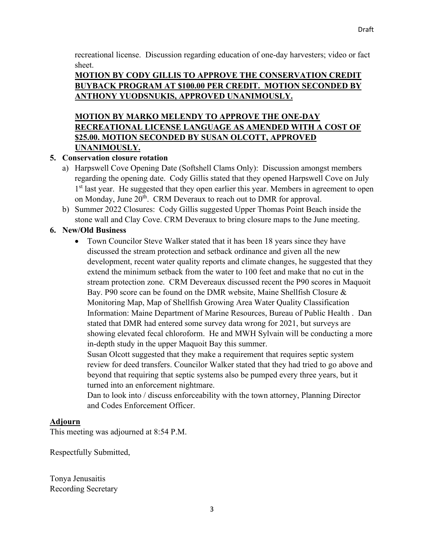recreational license. Discussion regarding education of one-day harvesters; video or fact sheet.

## **MOTION BY CODY GILLIS TO APPROVE THE CONSERVATION CREDIT BUYBACK PROGRAM AT \$100.00 PER CREDIT. MOTION SECONDED BY ANTHONY YUODSNUKIS, APPROVED UNANIMOUSLY.**

## **MOTION BY MARKO MELENDY TO APPROVE THE ONE-DAY RECREATIONAL LICENSE LANGUAGE AS AMENDED WITH A COST OF \$25.00. MOTION SECONDED BY SUSAN OLCOTT, APPROVED UNANIMOUSLY.**

## **5. Conservation closure rotation**

- a) Harpswell Cove Opening Date (Softshell Clams Only): Discussion amongst members regarding the opening date. Cody Gillis stated that they opened Harpswell Cove on July 1<sup>st</sup> last year. He suggested that they open earlier this year. Members in agreement to open on Monday, June  $20<sup>th</sup>$ . CRM Deveraux to reach out to DMR for approval.
- b) Summer 2022 Closures: Cody Gillis suggested Upper Thomas Point Beach inside the stone wall and Clay Cove. CRM Deveraux to bring closure maps to the June meeting.

## **6. New/Old Business**

• Town Councilor Steve Walker stated that it has been 18 years since they have discussed the stream protection and setback ordinance and given all the new development, recent water quality reports and climate changes, he suggested that they extend the minimum setback from the water to 100 feet and make that no cut in the stream protection zone. CRM Devereaux discussed recent the P90 scores in Maquoit Bay. P90 score can be found on the DMR website, Maine Shellfish Closure & Monitoring Map, [Map of Shellfish Growing Area Water Quality Classification](https://www.maine.gov/dmr/shellfish-sanitation-management/maps/index.html)  [Information: Maine Department of Marine Resources, Bureau of Public Health](https://www.maine.gov/dmr/shellfish-sanitation-management/maps/index.html) . Dan stated that DMR had entered some survey data wrong for 2021, but surveys are showing elevated fecal chloroform. He and MWH Sylvain will be conducting a more in-depth study in the upper Maquoit Bay this summer.

Susan Olcott suggested that they make a requirement that requires septic system review for deed transfers. Councilor Walker stated that they had tried to go above and beyond that requiring that septic systems also be pumped every three years, but it turned into an enforcement nightmare.

Dan to look into / discuss enforceability with the town attorney, Planning Director and Codes Enforcement Officer.

## **Adjourn**

This meeting was adjourned at 8:54 P.M.

Respectfully Submitted,

Tonya Jenusaitis Recording Secretary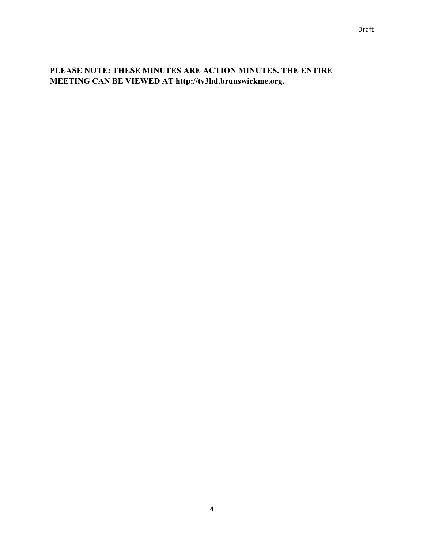## **PLEASE NOTE: THESE MINUTES ARE ACTION MINUTES. THE ENTIRE MEETING CAN BE VIEWED AT [http://tv3hd.brunswickme.org.](http://tv3hd.brunswickme.org/)**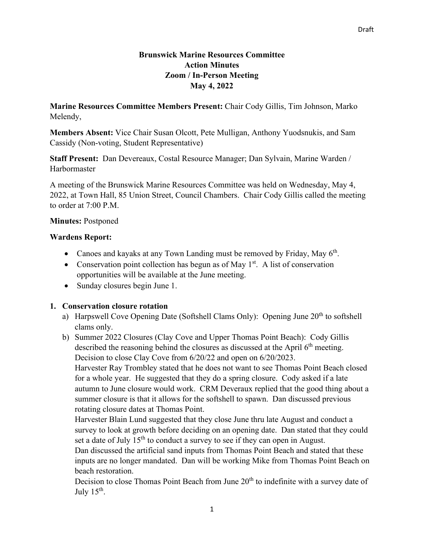#### **Brunswick Marine Resources Committee Action Minutes Zoom / In-Person Meeting May 4, 2022**

**Marine Resources Committee Members Present:** Chair Cody Gillis, Tim Johnson, Marko Melendy,

**Members Absent:** Vice Chair Susan Olcott, Pete Mulligan, Anthony Yuodsnukis, and Sam Cassidy (Non-voting, Student Representative)

**Staff Present:** Dan Devereaux, Costal Resource Manager; Dan Sylvain, Marine Warden / Harbormaster

A meeting of the Brunswick Marine Resources Committee was held on Wednesday, May 4, 2022, at Town Hall, 85 Union Street, Council Chambers. Chair Cody Gillis called the meeting to order at 7:00 P.M.

#### **Minutes:** Postponed

#### **Wardens Report:**

- Canoes and kayaks at any Town Landing must be removed by Friday, May 6<sup>th</sup>.
- Conservation point collection has begun as of May  $1<sup>st</sup>$ . A list of conservation opportunities will be available at the June meeting.
- Sunday closures begin June 1.

#### **1. Conservation closure rotation**

- a) Harpswell Cove Opening Date (Softshell Clams Only): Opening June 20<sup>th</sup> to softshell clams only.
- b) Summer 2022 Closures (Clay Cove and Upper Thomas Point Beach): Cody Gillis described the reasoning behind the closures as discussed at the April  $6<sup>th</sup>$  meeting. Decision to close Clay Cove from 6/20/22 and open on 6/20/2023.

Harvester Ray Trombley stated that he does not want to see Thomas Point Beach closed for a whole year. He suggested that they do a spring closure. Cody asked if a late autumn to June closure would work. CRM Deveraux replied that the good thing about a summer closure is that it allows for the softshell to spawn. Dan discussed previous rotating closure dates at Thomas Point.

Harvester Blain Lund suggested that they close June thru late August and conduct a survey to look at growth before deciding on an opening date. Dan stated that they could set a date of July  $15<sup>th</sup>$  to conduct a survey to see if they can open in August.

Dan discussed the artificial sand inputs from Thomas Point Beach and stated that these inputs are no longer mandated. Dan will be working Mike from Thomas Point Beach on beach restoration.

Decision to close Thomas Point Beach from June  $20<sup>th</sup>$  to indefinite with a survey date of July  $15<sup>th</sup>$ .